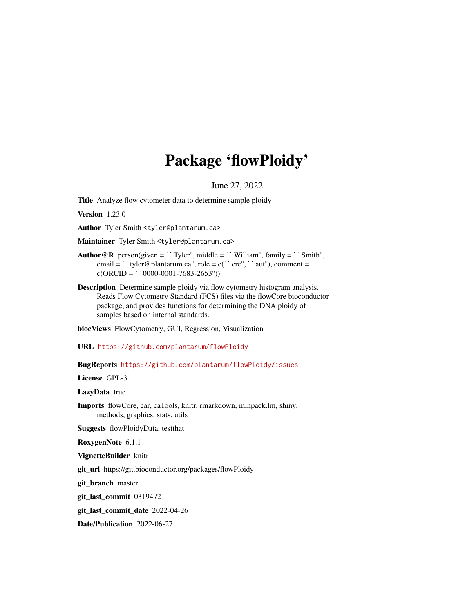# Package 'flowPloidy'

June 27, 2022

<span id="page-0-0"></span>Title Analyze flow cytometer data to determine sample ploidy

Version 1.23.0

Author Tyler Smith <tyler@plantarum.ca>

Maintainer Tyler Smith <tyler@plantarum.ca>

- Author Tyler Sinnin Styter @ptantarum.ca><br>M**aintainer** Tyler Smith <tyler@plantarum.ca><br>**Author@R** person(given = ``Tyler'', middle = ``William'', family = ``Smith'', **ainer** Tyler Smith <tyler@plantarum.ca><br>  $\mathbf{r} \mathcal{Q} \mathbf{R}$  person(given = ``Tyler'', middle = ``William'', family = ``Sn<br>
email = ``tyler@plantarum.ca'', role = c(``cre'', ``aut''), comment =  $\mathbf{c} \in \mathbb{R}$  person(given = ``Tyler'', middle email = ``tyler@plantarum.ca'', role = c<br>c(ORCID = ``0000-0001-7683-2653''))
- Description Determine sample ploidy via flow cytometry histogram analysis. Reads Flow Cytometry Standard (FCS) files via the flowCore bioconductor package, and provides functions for determining the DNA ploidy of samples based on internal standards.

biocViews FlowCytometry, GUI, Regression, Visualization

URL <https://github.com/plantarum/flowPloidy>

BugReports <https://github.com/plantarum/flowPloidy/issues>

License GPL-3

LazyData true

Imports flowCore, car, caTools, knitr, rmarkdown, minpack.lm, shiny, methods, graphics, stats, utils

Suggests flowPloidyData, testthat

RoxygenNote 6.1.1

VignetteBuilder knitr

git\_url https://git.bioconductor.org/packages/flowPloidy

git\_branch master

git\_last\_commit 0319472

git\_last\_commit\_date 2022-04-26

Date/Publication 2022-06-27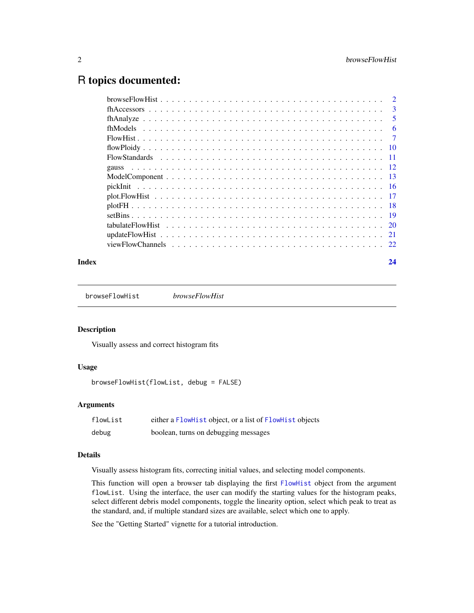# <span id="page-1-0"></span>R topics documented:

|  | 3              |
|--|----------------|
|  | 5              |
|  | 6              |
|  | $\overline{7}$ |
|  |                |
|  |                |
|  |                |
|  |                |
|  |                |
|  |                |
|  |                |
|  |                |
|  |                |
|  |                |
|  |                |
|  |                |

#### **Index** [24](#page-23-0)

<span id="page-1-1"></span>browseFlowHist *browseFlowHist*

#### Description

Visually assess and correct histogram fits

# Usage

browseFlowHist(flowList, debug = FALSE)

# Arguments

| flowList | either a FlowHist object, or a list of FlowHist objects |
|----------|---------------------------------------------------------|
| debug    | boolean, turns on debugging messages                    |

# Details

Visually assess histogram fits, correcting initial values, and selecting model components.

This function will open a browser tab displaying the first [FlowHist](#page-6-1) object from the argument flowList. Using the interface, the user can modify the starting values for the histogram peaks, select different debris model components, toggle the linearity option, select which peak to treat as the standard, and, if multiple standard sizes are available, select which one to apply.

See the "Getting Started" vignette for a tutorial introduction.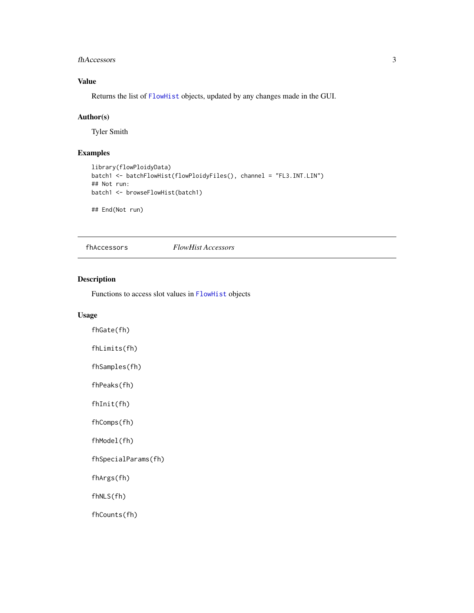#### <span id="page-2-0"></span>fhAccessors 3

# Value

Returns the list of [FlowHist](#page-6-1) objects, updated by any changes made in the GUI.

#### Author(s)

Tyler Smith

# Examples

```
library(flowPloidyData)
batch1 <- batchFlowHist(flowPloidyFiles(), channel = "FL3.INT.LIN")
## Not run:
batch1 <- browseFlowHist(batch1)
```
## End(Not run)

<span id="page-2-1"></span>fhAccessors *FlowHist Accessors*

# Description

Functions to access slot values in [FlowHist](#page-6-1) objects

# Usage

fhGate(fh) fhLimits(fh)

fhSamples(fh)

fhPeaks(fh) fhInit(fh)

fhComps(fh)

fhModel(fh)

fhSpecialParams(fh)

fhArgs(fh)

fhNLS(fh)

fhCounts(fh)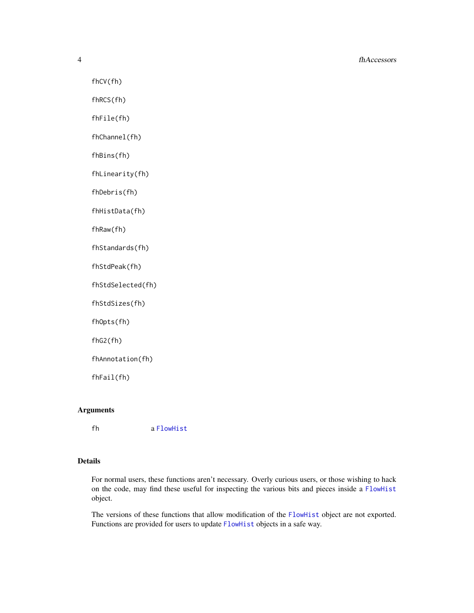#### 4 fhAccessors

fhCV(fh)

fhRCS(fh)

fhFile(fh)

fhChannel(fh)

fhBins(fh)

fhLinearity(fh)

fhDebris(fh)

fhHistData(fh)

fhRaw(fh)

fhStandards(fh)

fhStdPeak(fh)

fhStdSelected(fh)

fhStdSizes(fh)

fhOpts(fh)

fhG2(fh)

fhAnnotation(fh)

fhFail(fh)

# Arguments

fh a [FlowHist](#page-6-1)

# Details

For normal users, these functions aren't necessary. Overly curious users, or those wishing to hack on the code, may find these useful for inspecting the various bits and pieces inside a [FlowHist](#page-6-1) object.

The versions of these functions that allow modification of the [FlowHist](#page-6-1) object are not exported. Functions are provided for users to update [FlowHist](#page-6-1) objects in a safe way.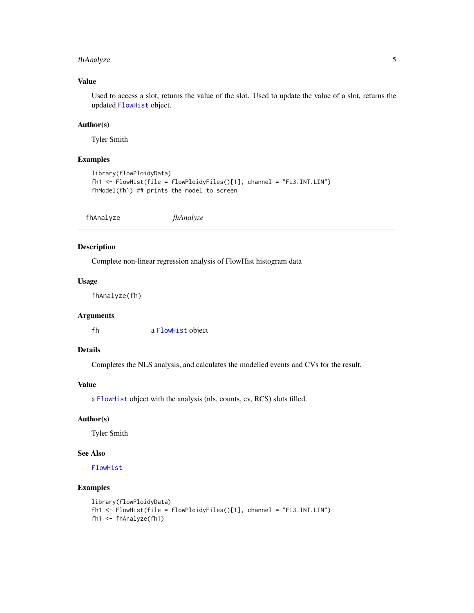# <span id="page-4-0"></span>fhAnalyze 5

# Value

Used to access a slot, returns the value of the slot. Used to update the value of a slot, returns the updated [FlowHist](#page-6-1) object.

# Author(s)

Tyler Smith

#### Examples

```
library(flowPloidyData)
fh1 <- FlowHist(file = flowPloidyFiles()[1], channel = "FL3.INT.LIN")
fhModel(fh1) ## prints the model to screen
```
<span id="page-4-1"></span>fhAnalyze *fhAnalyze*

# Description

Complete non-linear regression analysis of FlowHist histogram data

#### Usage

fhAnalyze(fh)

# Arguments

fh a [FlowHist](#page-6-1) object

# Details

Completes the NLS analysis, and calculates the modelled events and CVs for the result.

# Value

a [FlowHist](#page-6-1) object with the analysis (nls, counts, cv, RCS) slots filled.

#### Author(s)

Tyler Smith

### See Also

[FlowHist](#page-6-1)

#### Examples

```
library(flowPloidyData)
fh1 <- FlowHist(file = flowPloidyFiles()[1], channel = "FL3.INT.LIN")
fh1 <- fhAnalyze(fh1)
```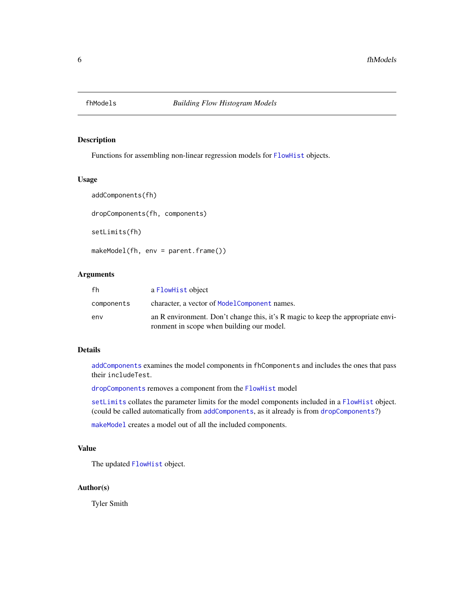<span id="page-5-0"></span>

# <span id="page-5-1"></span>Description

Functions for assembling non-linear regression models for [FlowHist](#page-6-1) objects.

#### Usage

```
addComponents(fh)
dropComponents(fh, components)
setLimits(fh)
makeModel(fh, env = parent.frame())
```
# Arguments

| fh         | a FlowHist object                                                                                                            |
|------------|------------------------------------------------------------------------------------------------------------------------------|
| components | character, a vector of ModelComponent names.                                                                                 |
| env        | an R environment. Don't change this, it's R magic to keep the appropriate envi-<br>ronment in scope when building our model. |

## Details

[addComponents](#page-5-1) examines the model components in fhComponents and includes the ones that pass their includeTest.

[dropComponents](#page-5-1) removes a component from the [FlowHist](#page-6-1) model

[setLimits](#page-5-1) collates the parameter limits for the model components included in a [FlowHist](#page-6-1) object. (could be called automatically from [addComponents](#page-5-1), as it already is from [dropComponents](#page-5-1)?)

[makeModel](#page-5-1) creates a model out of all the included components.

# Value

The updated [FlowHist](#page-6-1) object.

#### Author(s)

Tyler Smith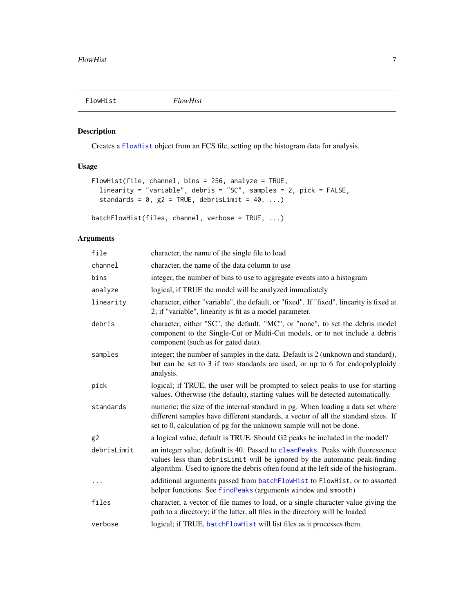<span id="page-6-1"></span><span id="page-6-0"></span>

# <span id="page-6-2"></span>Description

Creates a [FlowHist](#page-6-1) object from an FCS file, setting up the histogram data for analysis.

# Usage

```
FlowHist(file, channel, bins = 256, analyze = TRUE,
  linearity = "variable", debris = "SC", samples = 2, pick = FALSE,
 standards = 0, g2 = TRUE, debrisLimit = 40, ...)
```
batchFlowHist(files, channel, verbose = TRUE, ...)

# Arguments

| file        | character, the name of the single file to load                                                                                                                                                                                                      |
|-------------|-----------------------------------------------------------------------------------------------------------------------------------------------------------------------------------------------------------------------------------------------------|
| channel     | character, the name of the data column to use                                                                                                                                                                                                       |
| bins        | integer, the number of bins to use to aggregate events into a histogram                                                                                                                                                                             |
| analyze     | logical, if TRUE the model will be analyzed immediately                                                                                                                                                                                             |
| linearity   | character, either "variable", the default, or "fixed". If "fixed", linearity is fixed at<br>2; if "variable", linearity is fit as a model parameter.                                                                                                |
| debris      | character, either "SC", the default, "MC", or "none", to set the debris model<br>component to the Single-Cut or Multi-Cut models, or to not include a debris<br>component (such as for gated data).                                                 |
| samples     | integer; the number of samples in the data. Default is 2 (unknown and standard),<br>but can be set to 3 if two standards are used, or up to 6 for endopolyploidy<br>analysis.                                                                       |
| pick        | logical; if TRUE, the user will be prompted to select peaks to use for starting<br>values. Otherwise (the default), starting values will be detected automatically.                                                                                 |
| standards   | numeric; the size of the internal standard in pg. When loading a data set where<br>different samples have different standards, a vector of all the standard sizes. If<br>set to 0, calculation of pg for the unknown sample will not be done.       |
| g2          | a logical value, default is TRUE. Should G2 peaks be included in the model?                                                                                                                                                                         |
| debrisLimit | an integer value, default is 40. Passed to cleanPeaks. Peaks with fluorescence<br>values less than debrisLimit will be ignored by the automatic peak-finding<br>algorithm. Used to ignore the debris often found at the left side of the histogram. |
|             | additional arguments passed from batchFlowHist to FlowHist, or to assorted<br>helper functions. See findPeaks (arguments window and smooth)                                                                                                         |
| files       | character, a vector of file names to load, or a single character value giving the<br>path to a directory; if the latter, all files in the directory will be loaded                                                                                  |
| verbose     | logical; if TRUE, batchFlowHist will list files as it processes them.                                                                                                                                                                               |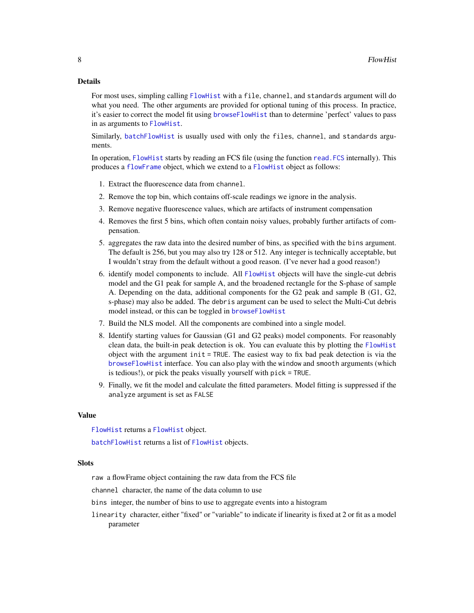#### <span id="page-7-0"></span>Details

For most uses, simpling calling [FlowHist](#page-6-1) with a file, channel, and standards argument will do what you need. The other arguments are provided for optional tuning of this process. In practice, it's easier to correct the model fit using [browseFlowHist](#page-1-1) than to determine 'perfect' values to pass in as arguments to [FlowHist](#page-6-1).

Similarly, [batchFlowHist](#page-6-2) is usually used with only the files, channel, and standards arguments.

In operation, [FlowHist](#page-6-1) starts by reading an FCS file (using the function [read.FCS](#page-0-0) internally). This produces a [flowFrame](#page-0-0) object, which we extend to a [FlowHist](#page-6-1) object as follows:

- 1. Extract the fluorescence data from channel.
- 2. Remove the top bin, which contains off-scale readings we ignore in the analysis.
- 3. Remove negative fluorescence values, which are artifacts of instrument compensation
- 4. Removes the first 5 bins, which often contain noisy values, probably further artifacts of compensation.
- 5. aggregates the raw data into the desired number of bins, as specified with the bins argument. The default is 256, but you may also try 128 or 512. Any integer is technically acceptable, but I wouldn't stray from the default without a good reason. (I've never had a good reason!)
- 6. identify model components to include. All [FlowHist](#page-6-1) objects will have the single-cut debris model and the G1 peak for sample A, and the broadened rectangle for the S-phase of sample A. Depending on the data, additional components for the G2 peak and sample B (G1, G2, s-phase) may also be added. The debris argument can be used to select the Multi-Cut debris model instead, or this can be toggled in [browseFlowHist](#page-1-1)
- 7. Build the NLS model. All the components are combined into a single model.
- 8. Identify starting values for Gaussian (G1 and G2 peaks) model components. For reasonably clean data, the built-in peak detection is ok. You can evaluate this by plotting the [FlowHist](#page-6-1) object with the argument init = TRUE. The easiest way to fix bad peak detection is via the [browseFlowHist](#page-1-1) interface. You can also play with the window and smooth arguments (which is tedious!), or pick the peaks visually yourself with pick = TRUE.
- 9. Finally, we fit the model and calculate the fitted parameters. Model fitting is suppressed if the analyze argument is set as FALSE

#### Value

[FlowHist](#page-6-1) returns a [FlowHist](#page-6-1) object.

[batchFlowHist](#page-6-2) returns a list of [FlowHist](#page-6-1) objects.

#### **Slots**

raw a flowFrame object containing the raw data from the FCS file

channel character, the name of the data column to use

bins integer, the number of bins to use to aggregate events into a histogram

linearity character, either "fixed" or "variable" to indicate if linearity is fixed at 2 or fit as a model parameter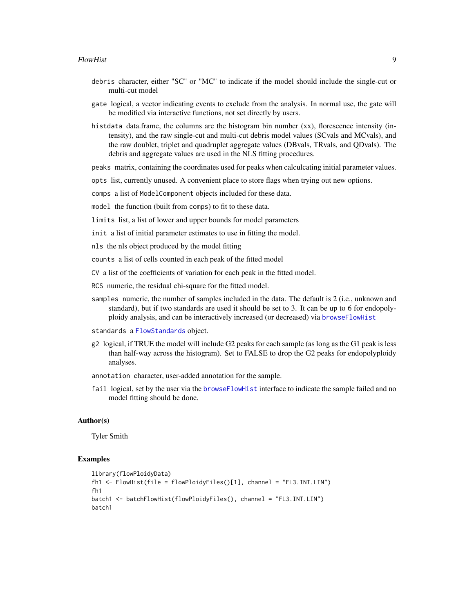- <span id="page-8-0"></span>debris character, either "SC" or "MC" to indicate if the model should include the single-cut or multi-cut model
- gate logical, a vector indicating events to exclude from the analysis. In normal use, the gate will be modified via interactive functions, not set directly by users.
- histdata data.frame, the columns are the histogram bin number (xx), florescence intensity (intensity), and the raw single-cut and multi-cut debris model values (SCvals and MCvals), and the raw doublet, triplet and quadruplet aggregate values (DBvals, TRvals, and QDvals). The debris and aggregate values are used in the NLS fitting procedures.

peaks matrix, containing the coordinates used for peaks when calculcating initial parameter values.

opts list, currently unused. A convenient place to store flags when trying out new options.

comps a list of ModelComponent objects included for these data.

model the function (built from comps) to fit to these data.

limits list, a list of lower and upper bounds for model parameters

init a list of initial parameter estimates to use in fitting the model.

nls the nls object produced by the model fitting

counts a list of cells counted in each peak of the fitted model

CV a list of the coefficients of variation for each peak in the fitted model.

- RCS numeric, the residual chi-square for the fitted model.
- samples numeric, the number of samples included in the data. The default is 2 (i.e., unknown and standard), but if two standards are used it should be set to 3. It can be up to 6 for endopolyploidy analysis, and can be interactively increased (or decreased) via [browseFlowHist](#page-1-1)
- standards a [FlowStandards](#page-10-1) object.
- g2 logical, if TRUE the model will include G2 peaks for each sample (as long as the G1 peak is less than half-way across the histogram). Set to FALSE to drop the G2 peaks for endopolyploidy analyses.
- annotation character, user-added annotation for the sample.
- fail logical, set by the user via the [browseFlowHist](#page-1-1) interface to indicate the sample failed and no model fitting should be done.

#### Author(s)

Tyler Smith

# Examples

```
library(flowPloidyData)
fh1 <- FlowHist(file = flowPloidyFiles()[1], channel = "FL3.INT.LIN")
fh1
batch1 <- batchFlowHist(flowPloidyFiles(), channel = "FL3.INT.LIN")
batch1
```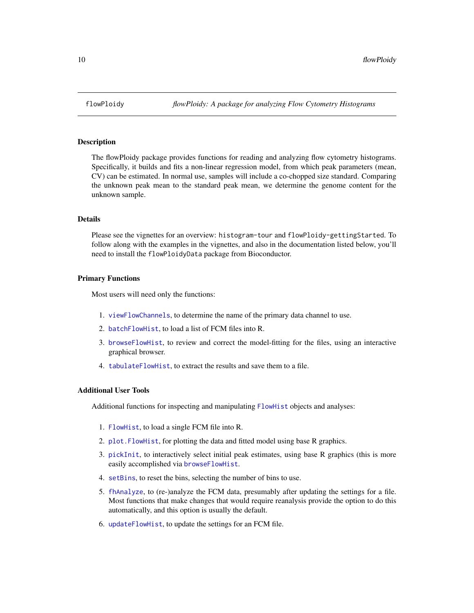<span id="page-9-0"></span>

#### Description

The flowPloidy package provides functions for reading and analyzing flow cytometry histograms. Specifically, it builds and fits a non-linear regression model, from which peak parameters (mean, CV) can be estimated. In normal use, samples will include a co-chopped size standard. Comparing the unknown peak mean to the standard peak mean, we determine the genome content for the unknown sample.

# **Details**

Please see the vignettes for an overview: histogram-tour and flowPloidy-gettingStarted. To follow along with the examples in the vignettes, and also in the documentation listed below, you'll need to install the flowPloidyData package from Bioconductor.

#### Primary Functions

Most users will need only the functions:

- 1. [viewFlowChannels](#page-21-1), to determine the name of the primary data channel to use.
- 2. [batchFlowHist](#page-6-2), to load a list of FCM files into R.
- 3. [browseFlowHist](#page-1-1), to review and correct the model-fitting for the files, using an interactive graphical browser.
- 4. [tabulateFlowHist](#page-19-1), to extract the results and save them to a file.

#### Additional User Tools

Additional functions for inspecting and manipulating [FlowHist](#page-6-1) objects and analyses:

- 1. [FlowHist](#page-6-1), to load a single FCM file into R.
- 2. [plot.FlowHist](#page-16-1), for plotting the data and fitted model using base R graphics.
- 3. [pickInit](#page-15-1), to interactively select initial peak estimates, using base R graphics (this is more easily accomplished via [browseFlowHist](#page-1-1).
- 4. [setBins](#page-18-1), to reset the bins, selecting the number of bins to use.
- 5. [fhAnalyze](#page-4-1), to (re-)analyze the FCM data, presumably after updating the settings for a file. Most functions that make changes that would require reanalysis provide the option to do this automatically, and this option is usually the default.
- 6. [updateFlowHist](#page-20-1), to update the settings for an FCM file.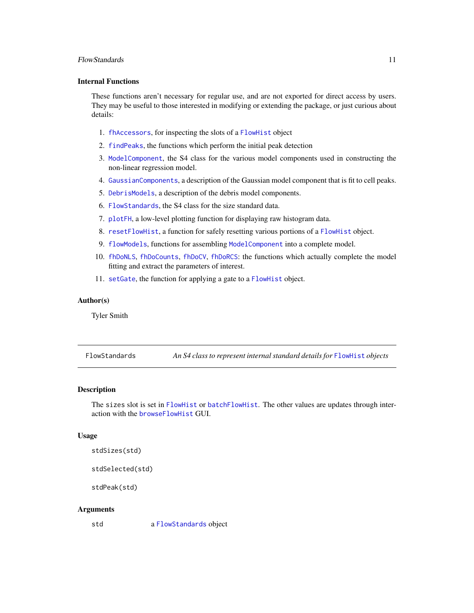#### <span id="page-10-0"></span>FlowStandards 11 and 12 and 12 and 12 and 12 and 13 and 13 and 13 and 14 and 14 and 14 and 14 and 14 and 14 and 14 and 14 and 14 and 14 and 14 and 14 and 14 and 14 and 14 and 14 and 14 and 14 and 14 and 14 and 14 and 14 an

## Internal Functions

These functions aren't necessary for regular use, and are not exported for direct access by users. They may be useful to those interested in modifying or extending the package, or just curious about details:

- 1. [fhAccessors](#page-2-1), for inspecting the slots of a [FlowHist](#page-6-1) object
- 2. [findPeaks](#page-0-0), the functions which perform the initial peak detection
- 3. [ModelComponent](#page-12-1), the S4 class for the various model components used in constructing the non-linear regression model.
- 4. [GaussianComponents](#page-11-1), a description of the Gaussian model component that is fit to cell peaks.
- 5. [DebrisModels](#page-0-0), a description of the debris model components.
- 6. [FlowStandards](#page-10-1), the S4 class for the size standard data.
- 7. [plotFH](#page-17-1), a low-level plotting function for displaying raw histogram data.
- 8. [resetFlowHist](#page-0-0), a function for safely resetting various portions of a [FlowHist](#page-6-1) object.
- 9. [flowModels](#page-5-1), functions for assembling [ModelComponent](#page-12-1) into a complete model.
- 10. [fhDoNLS](#page-0-0), [fhDoCounts](#page-0-0), [fhDoCV](#page-0-0), [fhDoRCS](#page-0-0): the functions which actually complete the model fitting and extract the parameters of interest.
- 11. [setGate](#page-0-0), the function for applying a gate to a [FlowHist](#page-6-1) object.

#### Author(s)

Tyler Smith

<span id="page-10-1"></span>FlowStandards *An S4 class to represent internal standard details for* [FlowHist](#page-6-1) *objects*

#### <span id="page-10-2"></span>Description

The sizes slot is set in [FlowHist](#page-6-1) or [batchFlowHist](#page-6-2). The other values are updates through interaction with the **[browseFlowHist](#page-1-1) GUI.** 

#### Usage

```
stdSizes(std)
```
stdSelected(std)

stdPeak(std)

#### Arguments

std a [FlowStandards](#page-10-1) object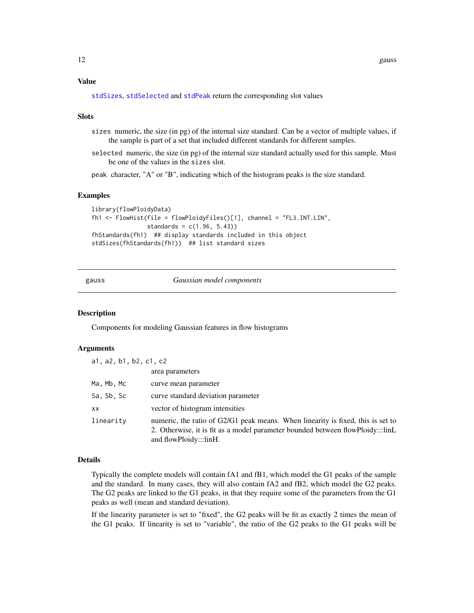#### <span id="page-11-0"></span>Value

[stdSizes](#page-10-2), [stdSelected](#page-10-2) and [stdPeak](#page-10-2) return the corresponding slot values

#### **Slots**

- sizes numeric, the size (in pg) of the internal size standard. Can be a vector of multiple values, if the sample is part of a set that included different standards for different samples.
- selected numeric, the size (in pg) of the internal size standard actually used for this sample. Must be one of the values in the sizes slot.

peak character, "A" or "B", indicating which of the histogram peaks is the size standard.

#### Examples

```
library(flowPloidyData)
fh1 <- FlowHist(file = flowPloidyFiles()[1], channel = "FL3.INT.LIN",
               standards = c(1.96, 5.43)fhStandards(fh1) ## display standards included in this object
stdSizes(fhStandards(fh1)) ## list standard sizes
```
gauss *Gaussian model components*

#### <span id="page-11-1"></span>Description

Components for modeling Gaussian features in flow histograms

#### Arguments

| a1, a2, b1, b2, c1, c2 |                                                                                                                                                                                             |  |
|------------------------|---------------------------------------------------------------------------------------------------------------------------------------------------------------------------------------------|--|
|                        | area parameters                                                                                                                                                                             |  |
| Ma, Mb, Mc             | curve mean parameter                                                                                                                                                                        |  |
| Sa, Sb, Sc             | curve standard deviation parameter                                                                                                                                                          |  |
| XX.                    | vector of histogram intensities                                                                                                                                                             |  |
| linearity              | numeric, the ratio of G2/G1 peak means. When linearity is fixed, this is set to<br>2. Otherwise, it is fit as a model parameter bounded between flowPloidy:::linL<br>and flowPloidy:::linH. |  |

#### Details

Typically the complete models will contain fA1 and fB1, which model the G1 peaks of the sample and the standard. In many cases, they will also contain fA2 and fB2, which model the G2 peaks. The G2 peaks are linked to the G1 peaks, in that they require some of the parameters from the G1 peaks as well (mean and standard deviation).

If the linearity parameter is set to "fixed", the G2 peaks will be fit as exactly 2 times the mean of the G1 peaks. If linearity is set to "variable", the ratio of the G2 peaks to the G1 peaks will be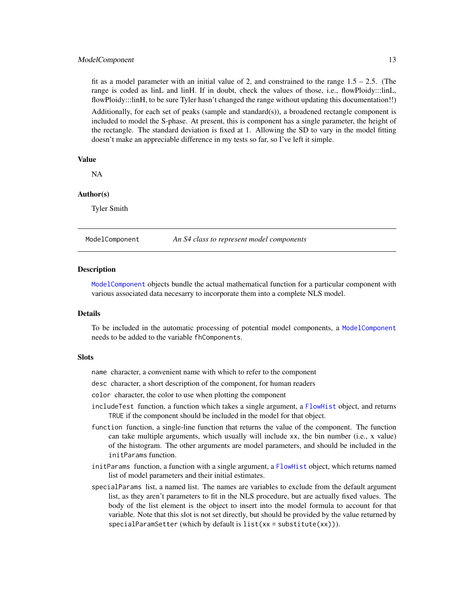#### <span id="page-12-0"></span>ModelComponent 13

fit as a model parameter with an initial value of 2, and constrained to the range  $1.5 - 2.5$ . (The range is coded as linL and linH. If in doubt, check the values of those, i.e., flowPloidy:::linL, flowPloidy:::linH, to be sure Tyler hasn't changed the range without updating this documentation!!)

Additionally, for each set of peaks (sample and standard(s)), a broadened rectangle component is included to model the S-phase. At present, this is component has a single parameter, the height of the rectangle. The standard deviation is fixed at 1. Allowing the SD to vary in the model fitting doesn't make an appreciable difference in my tests so far, so I've left it simple.

#### Value

NA

### Author(s)

Tyler Smith

<span id="page-12-1"></span>

ModelComponent *An S4 class to represent model components*

#### **Description**

[ModelComponent](#page-12-1) objects bundle the actual mathematical function for a particular component with various associated data necesarry to incorporate them into a complete NLS model.

#### **Details**

To be included in the automatic processing of potential model components, a [ModelComponent](#page-12-1) needs to be added to the variable fhComponents.

#### **Slots**

name character, a convenient name with which to refer to the component

desc character, a short description of the component, for human readers

color character, the color to use when plotting the component

- includeTest function, a function which takes a single argument, a [FlowHist](#page-6-1) object, and returns TRUE if the component should be included in the model for that object.
- function function, a single-line function that returns the value of the component. The function can take multiple arguments, which usually will include xx, the bin number (i.e., x value) of the histogram. The other arguments are model parameters, and should be included in the initParams function.
- initParams function, a function with a single argument, a [FlowHist](#page-6-1) object, which returns named list of model parameters and their initial estimates.
- specialParams list, a named list. The names are variables to exclude from the default argument list, as they aren't parameters to fit in the NLS procedure, but are actually fixed values. The body of the list element is the object to insert into the model formula to account for that variable. Note that this slot is not set directly, but should be provided by the value returned by specialParamSetter (which by default is list(xx = substitute(xx))).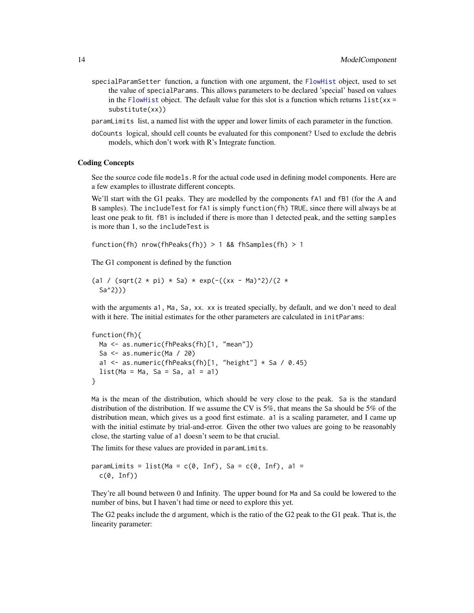- <span id="page-13-0"></span>specialParamSetter function, a function with one argument, the [FlowHist](#page-6-1) object, used to set the value of specialParams. This allows parameters to be declared 'special' based on values in the [FlowHist](#page-6-1) object. The default value for this slot is a function which returns  $list(x) =$ substitute(xx))
- paramLimits list, a named list with the upper and lower limits of each parameter in the function.
- doCounts logical, should cell counts be evaluated for this component? Used to exclude the debris models, which don't work with R's Integrate function.

#### Coding Concepts

See the source code file models.R for the actual code used in defining model components. Here are a few examples to illustrate different concepts.

We'll start with the G1 peaks. They are modelled by the components fA1 and fB1 (for the A and B samples). The includeTest for fA1 is simply function(fh) TRUE, since there will always be at least one peak to fit. fB1 is included if there is more than 1 detected peak, and the setting samples is more than 1, so the includeTest is

```
function(fh) nrow(fhPeaks(fh)) > 1 && fhSamples(fh) > 1
```
The G1 component is defined by the function

```
(a1 / (sqrt(2 * pi) * Sa) * exp(-((xx - Ma)^2)/(2 *
  Sa^2)))
```
with the arguments a1, Ma, Sa, xx. xx is treated specially, by default, and we don't need to deal with it here. The initial estimates for the other parameters are calculated in initParams:

```
function(fh){
 Ma <- as.numeric(fhPeaks(fh)[1, "mean"])
 Sa <- as.numeric(Ma / 20)
 a1 \leq as.numeric(fhPeaks(fh)[1, "height"] \leq Sa / 0.45)
 list(Ma = Ma, Sa = Sa, a1 = a1)}
```
Ma is the mean of the distribution, which should be very close to the peak. Sa is the standard distribution of the distribution. If we assume the CV is 5%, that means the Sa should be 5% of the distribution mean, which gives us a good first estimate. a1 is a scaling parameter, and I came up with the initial estimate by trial-and-error. Given the other two values are going to be reasonably close, the starting value of a1 doesn't seem to be that crucial.

The limits for these values are provided in paramLimits.

```
paramLimits = list(Ma = c(0, Inf), Sa = c(0, Inf), a1 =c(\emptyset, Inf))
```
They're all bound between 0 and Infinity. The upper bound for Ma and Sa could be lowered to the number of bins, but I haven't had time or need to explore this yet.

The G2 peaks include the d argument, which is the ratio of the G2 peak to the G1 peak. That is, the linearity parameter: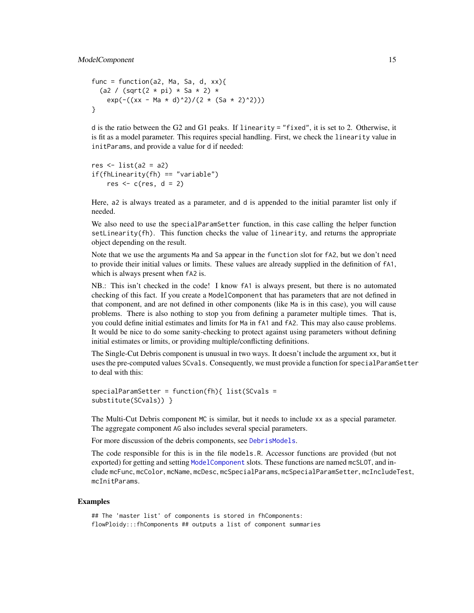```
func = function(a2, Ma, Sa, d, xx){
  (a2 / (sqrt(2 * pi) * Sa * 2) *
   exp(-((xx - Ma * d)^2)/(2 * (Sa * 2)^2)))
}
```
d is the ratio between the G2 and G1 peaks. If linearity = "fixed", it is set to 2. Otherwise, it is fit as a model parameter. This requires special handling. First, we check the linearity value in initParams, and provide a value for d if needed:

```
res \leftarrow list(a2 = a2)
if(fhLinearity(fh) == "variable")
    res \leq c(res, d = 2)
```
Here, a2 is always treated as a parameter, and d is appended to the initial paramter list only if needed.

We also need to use the specialParamSetter function, in this case calling the helper function  $setLinearity(fh)$ . This function checks the value of linearity, and returns the appropriate object depending on the result.

Note that we use the arguments Ma and Sa appear in the function slot for fA2, but we don't need to provide their initial values or limits. These values are already supplied in the definition of fA1, which is always present when  $f$ A2 is.

NB.: This isn't checked in the code! I know fA1 is always present, but there is no automated checking of this fact. If you create a ModelComponent that has parameters that are not defined in that component, and are not defined in other components (like Ma is in this case), you will cause problems. There is also nothing to stop you from defining a parameter multiple times. That is, you could define initial estimates and limits for Ma in fA1 and fA2. This may also cause problems. It would be nice to do some sanity-checking to protect against using parameters without defining initial estimates or limits, or providing multiple/conflicting definitions.

The Single-Cut Debris component is unusual in two ways. It doesn't include the argument xx, but it uses the pre-computed values SCvals. Consequently, we must provide a function for specialParamSetter to deal with this:

```
specialParamSetter = function(fh){ list(SCvals =
substitute(SCvals)) }
```
The Multi-Cut Debris component MC is similar, but it needs to include xx as a special parameter. The aggregate component AG also includes several special parameters.

For more discussion of the debris components, see [DebrisModels](#page-0-0).

The code responsible for this is in the file models.R. Accessor functions are provided (but not exported) for getting and setting [ModelComponent](#page-12-1) slots. These functions are named mcSLOT, and include mcFunc, mcColor, mcName, mcDesc, mcSpecialParams, mcSpecialParamSetter, mcIncludeTest, mcInitParams.

#### Examples

```
## The 'master list' of components is stored in fhComponents:
flowPloidy:::fhComponents ## outputs a list of component summaries
```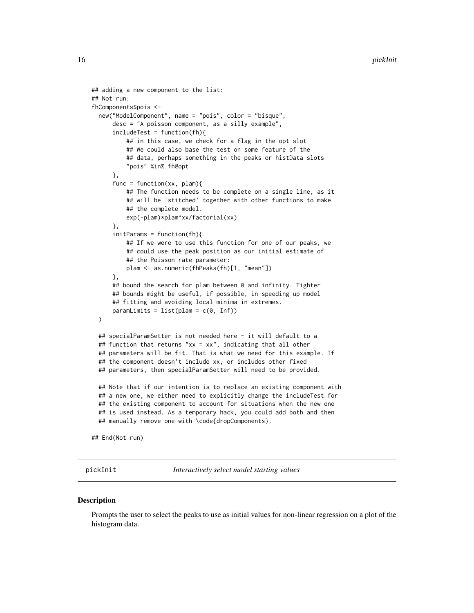```
## adding a new component to the list:
## Not run:
fhComponents$pois <-
 new("ModelComponent", name = "pois", color = "bisque",
      desc = "A poisson component, as a silly example",
      includeTest = function(fh){
          ## in this case, we check for a flag in the opt slot
          ## We could also base the test on some feature of the
          ## data, perhaps something in the peaks or histData slots
          "pois" %in% fh@opt
      },
      func = function(xx, plam){
          ## The function needs to be complete on a single line, as it
          ## will be 'stitched' together with other functions to make
          ## the complete model.
         exp(-plam)*plam^xx/factorial(xx)
      },
      initParams = function(fh){
         ## If we were to use this function for one of our peaks, we
          ## could use the peak position as our initial estimate of
          ## the Poisson rate parameter:
         plam <- as.numeric(fhPeaks(fh)[1, "mean"])
      },
      ## bound the search for plam between 0 and infinity. Tighter
      ## bounds might be useful, if possible, in speeding up model
     ## fitting and avoiding local minima in extremes.
     paramLimits = list(plam = c(0, Inf)))
 ## specialParamSetter is not needed here - it will default to a
 ## function that returns "xx = xx", indicating that all other
 ## parameters will be fit. That is what we need for this example. If
 ## the component doesn't include xx, or includes other fixed
 ## parameters, then specialParamSetter will need to be provided.
 ## Note that if our intention is to replace an existing component with
 ## a new one, we either need to explicitly change the includeTest for
 ## the existing component to account for situations when the new one
 ## is used instead. As a temporary hack, you could add both and then
 ## manually remove one with \code{dropComponents}.
```
## End(Not run)

pickInit *Interactively select model starting values*

#### **Description**

Prompts the user to select the peaks to use as initial values for non-linear regression on a plot of the histogram data.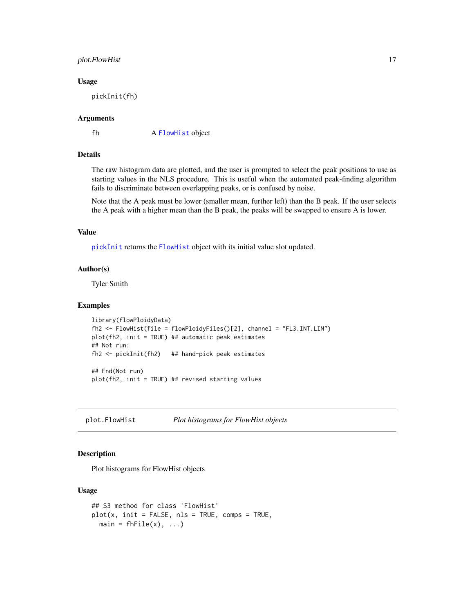### <span id="page-16-0"></span>plot.FlowHist 17

#### Usage

pickInit(fh)

#### Arguments

fh A [FlowHist](#page-6-1) object

# Details

The raw histogram data are plotted, and the user is prompted to select the peak positions to use as starting values in the NLS procedure. This is useful when the automated peak-finding algorithm fails to discriminate between overlapping peaks, or is confused by noise.

Note that the A peak must be lower (smaller mean, further left) than the B peak. If the user selects the A peak with a higher mean than the B peak, the peaks will be swapped to ensure A is lower.

#### Value

[pickInit](#page-15-1) returns the [FlowHist](#page-6-1) object with its initial value slot updated.

## Author(s)

Tyler Smith

#### Examples

```
library(flowPloidyData)
fh2 <- FlowHist(file = flowPloidyFiles()[2], channel = "FL3.INT.LIN")
plot(fh2, init = TRUE) ## automatic peak estimates
## Not run:
fh2 <- pickInit(fh2) ## hand-pick peak estimates
## End(Not run)
plot(fh2, init = TRUE) ## revised starting values
```
<span id="page-16-1"></span>plot.FlowHist *Plot histograms for FlowHist objects*

## Description

Plot histograms for FlowHist objects

#### Usage

```
## S3 method for class 'FlowHist'
plot(x, init = FALSE, nls = TRUE, comps = TRUE,main = fhFile(x), ...
```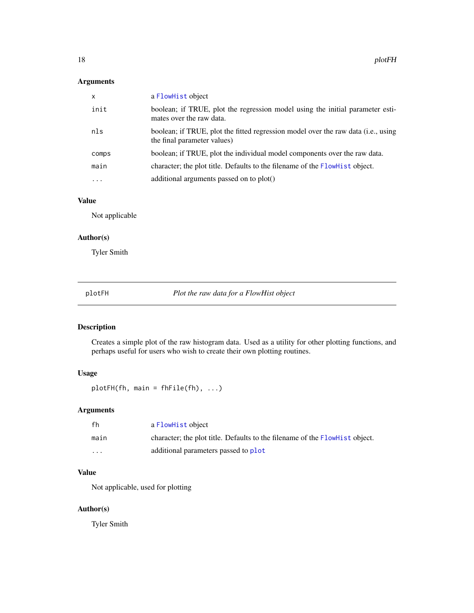# <span id="page-17-0"></span>Arguments

| X        | a FlowHist object                                                                                                |
|----------|------------------------------------------------------------------------------------------------------------------|
| init     | boolean; if TRUE, plot the regression model using the initial parameter esti-<br>mates over the raw data.        |
| nls      | boolean; if TRUE, plot the fitted regression model over the raw data (i.e., using<br>the final parameter values) |
| comps    | boolean; if TRUE, plot the individual model components over the raw data.                                        |
| main     | character; the plot title. Defaults to the filename of the FlowHist object.                                      |
| $\cdots$ | additional arguments passed on to plot()                                                                         |

# Value

Not applicable

# Author(s)

Tyler Smith

<span id="page-17-1"></span>plotFH *Plot the raw data for a FlowHist object*

# Description

Creates a simple plot of the raw histogram data. Used as a utility for other plotting functions, and perhaps useful for users who wish to create their own plotting routines.

# Usage

plotFH(fh, main = fhFile(fh), ...)

# Arguments

| fh      | a FlowHist object                                                           |
|---------|-----------------------------------------------------------------------------|
| main    | character; the plot title. Defaults to the filename of the FlowHist object. |
| $\cdot$ | additional parameters passed to plot                                        |

# Value

Not applicable, used for plotting

# Author(s)

Tyler Smith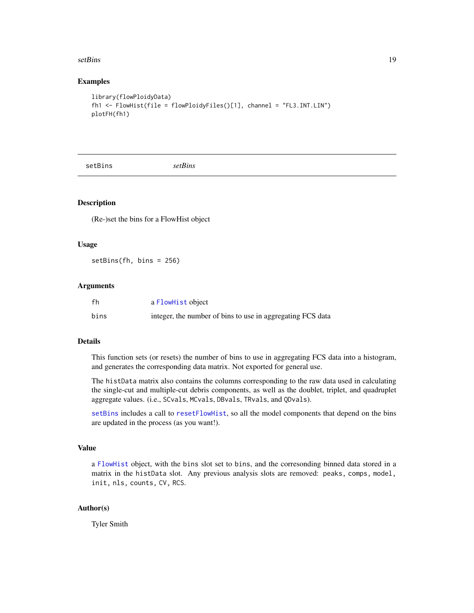#### <span id="page-18-0"></span>setBins 19

#### Examples

```
library(flowPloidyData)
fh1 <- FlowHist(file = flowPloidyFiles()[1], channel = "FL3.INT.LIN")
plotFH(fh1)
```
<span id="page-18-1"></span>setBins *setBins*

#### Description

(Re-)set the bins for a FlowHist object

#### Usage

setBins(fh, bins = 256)

#### Arguments

| fh   | a FlowHist object                                          |
|------|------------------------------------------------------------|
| bins | integer, the number of bins to use in aggregating FCS data |

# Details

This function sets (or resets) the number of bins to use in aggregating FCS data into a histogram, and generates the corresponding data matrix. Not exported for general use.

The histData matrix also contains the columns corresponding to the raw data used in calculating the single-cut and multiple-cut debris components, as well as the doublet, triplet, and quadruplet aggregate values. (i.e., SCvals, MCvals, DBvals, TRvals, and QDvals).

[setBins](#page-18-1) includes a call to [resetFlowHist](#page-0-0), so all the model components that depend on the bins are updated in the process (as you want!).

# Value

a [FlowHist](#page-6-1) object, with the bins slot set to bins, and the corresonding binned data stored in a matrix in the histData slot. Any previous analysis slots are removed: peaks, comps, model, init, nls, counts, CV, RCS.

# Author(s)

Tyler Smith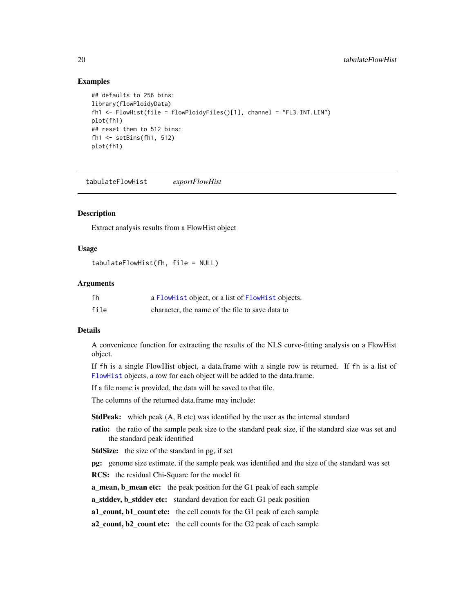#### <span id="page-19-0"></span>Examples

```
## defaults to 256 bins:
library(flowPloidyData)
fh1 <- FlowHist(file = flowPloidyFiles()[1], channel = "FL3.INT.LIN")
plot(fh1)
## reset them to 512 bins:
fh1 <- setBins(fh1, 512)
plot(fh1)
```
<span id="page-19-1"></span>tabulateFlowHist *exportFlowHist*

#### Description

Extract analysis results from a FlowHist object

#### Usage

tabulateFlowHist(fh, file = NULL)

#### Arguments

| fh   | a FlowHist object, or a list of FlowHist objects. |
|------|---------------------------------------------------|
| file | character, the name of the file to save data to   |

#### Details

A convenience function for extracting the results of the NLS curve-fitting analysis on a FlowHist object.

If fh is a single FlowHist object, a data.frame with a single row is returned. If fh is a list of [FlowHist](#page-6-1) objects, a row for each object will be added to the data.frame.

If a file name is provided, the data will be saved to that file.

The columns of the returned data.frame may include:

StdPeak: which peak (A, B etc) was identified by the user as the internal standard

- ratio: the ratio of the sample peak size to the standard peak size, if the standard size was set and the standard peak identified
- StdSize: the size of the standard in pg, if set

pg: genome size estimate, if the sample peak was identified and the size of the standard was set

RCS: the residual Chi-Square for the model fit

**a\_mean, b\_mean etc:** the peak position for the G1 peak of each sample

a\_stddev, b\_stddev etc: standard devation for each G1 peak position

a1\_count, b1\_count etc: the cell counts for the G1 peak of each sample

a2\_count, b2\_count etc: the cell counts for the G2 peak of each sample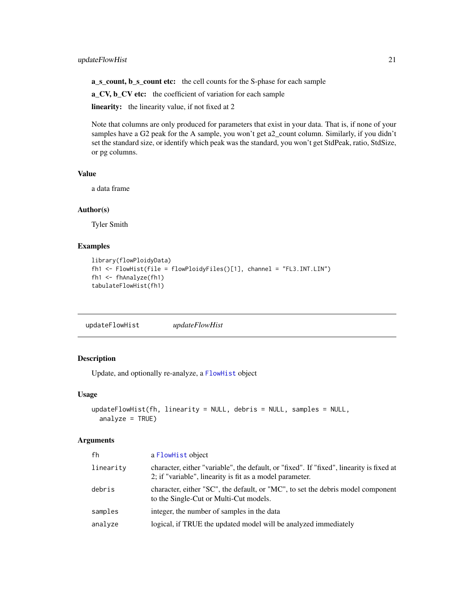# <span id="page-20-0"></span>updateFlowHist 21

a\_s\_count, b\_s\_count etc: the cell counts for the S-phase for each sample

a\_CV, b\_CV etc: the coefficient of variation for each sample

linearity: the linearity value, if not fixed at 2

Note that columns are only produced for parameters that exist in your data. That is, if none of your samples have a G2 peak for the A sample, you won't get a2\_count column. Similarly, if you didn't set the standard size, or identify which peak was the standard, you won't get StdPeak, ratio, StdSize, or pg columns.

#### Value

a data frame

#### Author(s)

Tyler Smith

#### Examples

```
library(flowPloidyData)
fh1 <- FlowHist(file = flowPloidyFiles()[1], channel = "FL3.INT.LIN")
fh1 <- fhAnalyze(fh1)
tabulateFlowHist(fh1)
```
<span id="page-20-1"></span>updateFlowHist *updateFlowHist*

# Description

Update, and optionally re-analyze, a [FlowHist](#page-6-1) object

#### Usage

```
updateFlowHist(fh, linearity = NULL, debris = NULL, samples = NULL,
  analyze = TRUE)
```
#### Arguments

| fh        | a FlowHist object                                                                                                                                    |
|-----------|------------------------------------------------------------------------------------------------------------------------------------------------------|
| linearity | character, either "variable", the default, or "fixed". If "fixed", linearity is fixed at<br>2; if "variable", linearity is fit as a model parameter. |
| debris    | character, either "SC", the default, or "MC", to set the debris model component<br>to the Single-Cut or Multi-Cut models.                            |
| samples   | integer, the number of samples in the data                                                                                                           |
| analyze   | logical, if TRUE the updated model will be analyzed immediately                                                                                      |
|           |                                                                                                                                                      |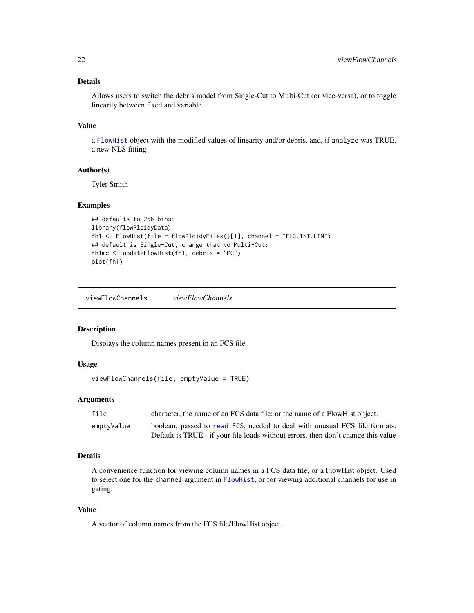## <span id="page-21-0"></span>Details

Allows users to switch the debris model from Single-Cut to Multi-Cut (or vice-versa), or to toggle linearity between fixed and variable.

# Value

a [FlowHist](#page-6-1) object with the modified values of linearity and/or debris, and, if analyze was TRUE, a new NLS fitting

# Author(s)

Tyler Smith

#### Examples

```
## defaults to 256 bins:
library(flowPloidyData)
fh1 <- FlowHist(file = flowPloidyFiles()[1], channel = "FL3.INT.LIN")
## default is Single-Cut, change that to Multi-Cut:
fh1mc <- updateFlowHist(fh1, debris = "MC")
plot(fh1)
```
<span id="page-21-1"></span>viewFlowChannels *viewFlowChannels*

#### Description

Displays the column names present in an FCS file

#### Usage

```
viewFlowChannels(file, emptyValue = TRUE)
```
#### Arguments

| file       | character, the name of an FCS data file; or the name of a FlowHist object.        |
|------------|-----------------------------------------------------------------------------------|
| emptyValue | boolean, passed to read. FCS, needed to deal with unusual FCS file formats.       |
|            | Default is TRUE - if your file loads without errors, then don't change this value |

# Details

A convenience function for viewing column names in a FCS data file, or a FlowHist object. Used to select one for the channel argument in [FlowHist](#page-6-1), or for viewing additional channels for use in gating.

# Value

A vector of column names from the FCS file/FlowHist object.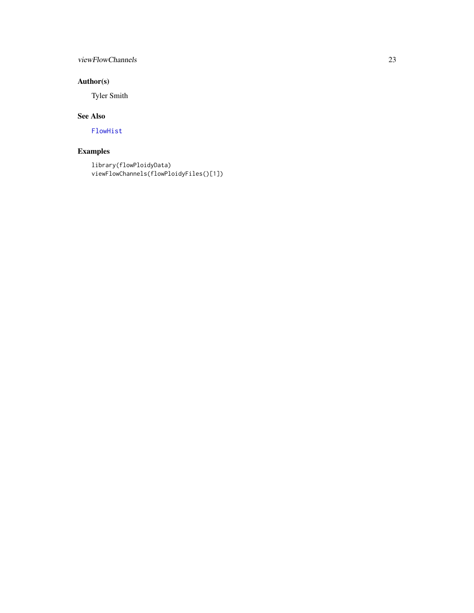# <span id="page-22-0"></span>viewFlowChannels 23

# Author(s)

Tyler Smith

# See Also

[FlowHist](#page-6-1)

# Examples

```
library(flowPloidyData)
viewFlowChannels(flowPloidyFiles()[1])
```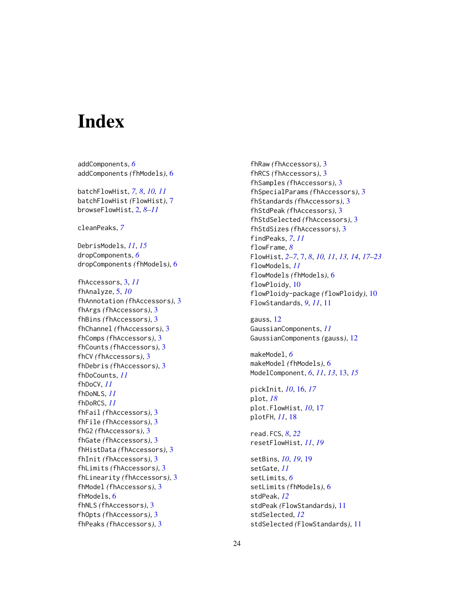# <span id="page-23-0"></span>**Index**

addComponents, *[6](#page-5-0)* addComponents *(*fhModels*)*, [6](#page-5-0)

batchFlowHist, *[7,](#page-6-0) [8](#page-7-0)*, *[10,](#page-9-0) [11](#page-10-0)* batchFlowHist *(*FlowHist*)*, [7](#page-6-0) browseFlowHist, [2,](#page-1-0) *[8](#page-7-0)[–11](#page-10-0)*

cleanPeaks, *[7](#page-6-0)*

DebrisModels, *[11](#page-10-0)*, *[15](#page-14-0)* dropComponents, *[6](#page-5-0)* dropComponents *(*fhModels*)*, [6](#page-5-0)

fhAccessors, [3,](#page-2-0) *[11](#page-10-0)* fhAnalyze, [5,](#page-4-0) *[10](#page-9-0)* fhAnnotation *(*fhAccessors*)*, [3](#page-2-0) fhArgs *(*fhAccessors*)*, [3](#page-2-0) fhBins *(*fhAccessors*)*, [3](#page-2-0) fhChannel *(*fhAccessors*)*, [3](#page-2-0) fhComps *(*fhAccessors*)*, [3](#page-2-0) fhCounts *(*fhAccessors*)*, [3](#page-2-0) fhCV *(*fhAccessors*)*, [3](#page-2-0) fhDebris *(*fhAccessors*)*, [3](#page-2-0) fhDoCounts, *[11](#page-10-0)* fhDoCV, *[11](#page-10-0)* fhDoNLS, *[11](#page-10-0)* fhDoRCS, *[11](#page-10-0)* fhFail *(*fhAccessors*)*, [3](#page-2-0) fhFile *(*fhAccessors*)*, [3](#page-2-0) fhG2 *(*fhAccessors*)*, [3](#page-2-0) fhGate *(*fhAccessors*)*, [3](#page-2-0) fhHistData *(*fhAccessors*)*, [3](#page-2-0) fhInit *(*fhAccessors*)*, [3](#page-2-0) fhLimits *(*fhAccessors*)*, [3](#page-2-0) fhLinearity *(*fhAccessors*)*, [3](#page-2-0) fhModel *(*fhAccessors*)*, [3](#page-2-0) fhModels, [6](#page-5-0) fhNLS *(*fhAccessors*)*, [3](#page-2-0) fhOpts *(*fhAccessors*)*, [3](#page-2-0) fhPeaks *(*fhAccessors*)*, [3](#page-2-0)

fhRaw *(*fhAccessors*)*, [3](#page-2-0) fhRCS *(*fhAccessors*)*, [3](#page-2-0) fhSamples *(*fhAccessors*)*, [3](#page-2-0) fhSpecialParams *(*fhAccessors*)*, [3](#page-2-0) fhStandards *(*fhAccessors*)*, [3](#page-2-0) fhStdPeak *(*fhAccessors*)*, [3](#page-2-0) fhStdSelected *(*fhAccessors*)*, [3](#page-2-0) fhStdSizes *(*fhAccessors*)*, [3](#page-2-0) findPeaks, *[7](#page-6-0)*, *[11](#page-10-0)* flowFrame, *[8](#page-7-0)* FlowHist, *[2](#page-1-0)[–7](#page-6-0)*, [7,](#page-6-0) *[8](#page-7-0)*, *[10,](#page-9-0) [11](#page-10-0)*, *[13,](#page-12-0) [14](#page-13-0)*, *[17](#page-16-0)[–23](#page-22-0)* flowModels, *[11](#page-10-0)* flowModels *(*fhModels*)*, [6](#page-5-0) flowPloidy, [10](#page-9-0) flowPloidy-package *(*flowPloidy*)*, [10](#page-9-0) FlowStandards, *[9](#page-8-0)*, *[11](#page-10-0)*, [11](#page-10-0)

gauss, [12](#page-11-0) GaussianComponents, *[11](#page-10-0)* GaussianComponents *(*gauss*)*, [12](#page-11-0)

makeModel, *[6](#page-5-0)* makeModel *(*fhModels*)*, [6](#page-5-0) ModelComponent, *[6](#page-5-0)*, *[11](#page-10-0)*, *[13](#page-12-0)*, [13,](#page-12-0) *[15](#page-14-0)*

pickInit, *[10](#page-9-0)*, [16,](#page-15-0) *[17](#page-16-0)* plot, *[18](#page-17-0)* plot.FlowHist, *[10](#page-9-0)*, [17](#page-16-0) plotFH, *[11](#page-10-0)*, [18](#page-17-0)

read.FCS, *[8](#page-7-0)*, *[22](#page-21-0)* resetFlowHist, *[11](#page-10-0)*, *[19](#page-18-0)*

setBins, *[10](#page-9-0)*, *[19](#page-18-0)*, [19](#page-18-0) setGate, *[11](#page-10-0)* setLimits, *[6](#page-5-0)* setLimits *(*fhModels*)*, [6](#page-5-0) stdPeak, *[12](#page-11-0)* stdPeak *(*FlowStandards*)*, [11](#page-10-0) stdSelected, *[12](#page-11-0)* stdSelected *(*FlowStandards*)*, [11](#page-10-0)